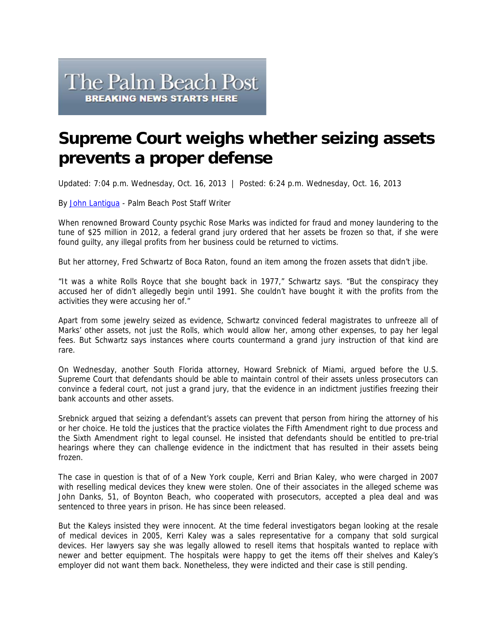## The Palm Beach Post **BREAKING NEWS STARTS HERE**

## **Supreme Court weighs whether seizing assets prevents a proper defense**

Updated: 7:04 p.m. Wednesday, Oct. 16, 2013 | Posted: 6:24 p.m. Wednesday, Oct. 16, 2013

By John Lantigua - Palm Beach Post Staff Writer

When renowned Broward County psychic Rose Marks was indicted for fraud and money laundering to the tune of \$25 million in 2012, a federal grand jury ordered that her assets be frozen so that, if she were found guilty, any illegal profits from her business could be returned to victims.

But her attorney, Fred Schwartz of Boca Raton, found an item among the frozen assets that didn't jibe.

"It was a white Rolls Royce that she bought back in 1977," Schwartz says. "But the conspiracy they accused her of didn't allegedly begin until 1991. She couldn't have bought it with the profits from the activities they were accusing her of."

Apart from some jewelry seized as evidence, Schwartz convinced federal magistrates to unfreeze all of Marks' other assets, not just the Rolls, which would allow her, among other expenses, to pay her legal fees. But Schwartz says instances where courts countermand a grand jury instruction of that kind are rare.

On Wednesday, another South Florida attorney, Howard Srebnick of Miami, argued before the U.S. Supreme Court that defendants should be able to maintain control of their assets unless prosecutors can convince a federal court, not just a grand jury, that the evidence in an indictment justifies freezing their bank accounts and other assets.

Srebnick argued that seizing a defendant's assets can prevent that person from hiring the attorney of his or her choice. He told the justices that the practice violates the Fifth Amendment right to due process and the Sixth Amendment right to legal counsel. He insisted that defendants should be entitled to pre-trial hearings where they can challenge evidence in the indictment that has resulted in their assets being frozen.

The case in question is that of of a New York couple, Kerri and Brian Kaley, who were charged in 2007 with reselling medical devices they knew were stolen. One of their associates in the alleged scheme was John Danks, 51, of Boynton Beach, who cooperated with prosecutors, accepted a plea deal and was sentenced to three years in prison. He has since been released.

But the Kaleys insisted they were innocent. At the time federal investigators began looking at the resale of medical devices in 2005, Kerri Kaley was a sales representative for a company that sold surgical devices. Her lawyers say she was legally allowed to resell items that hospitals wanted to replace with newer and better equipment. The hospitals were happy to get the items off their shelves and Kaley's employer did not want them back. Nonetheless, they were indicted and their case is still pending.